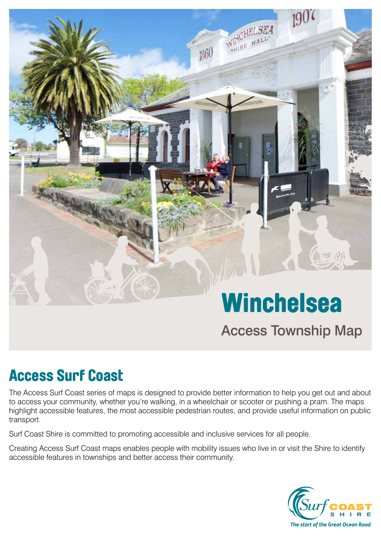# WINCHELSEA 1860

# **Winchelsea**

## Access Township Map

## Access Surf Coast

The Access Surf Coast series of maps is designed to provide better information to help you get out and about to access your community, whether you're walking, in a wheelchair or scooter or pushing a pram. The maps highlight accessible features, the most accessible pedestrian routes, and provide useful information on public transport.

Surf Coast Shire is committed to promoting accessible and inclusive services for all people.

Creating Access Surf Coast maps enables people with mobility issues who live in or visit the Shire to identify accessible features in townships and better access their community.

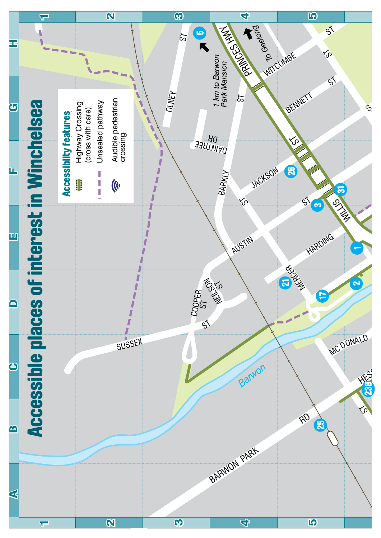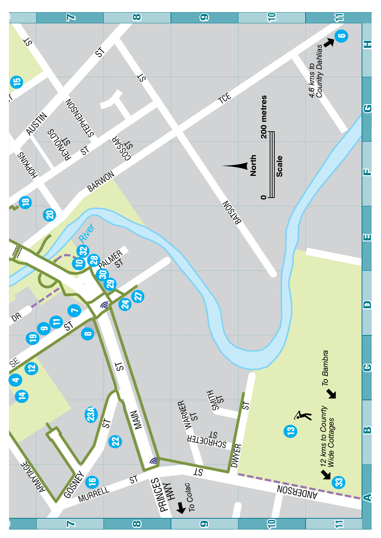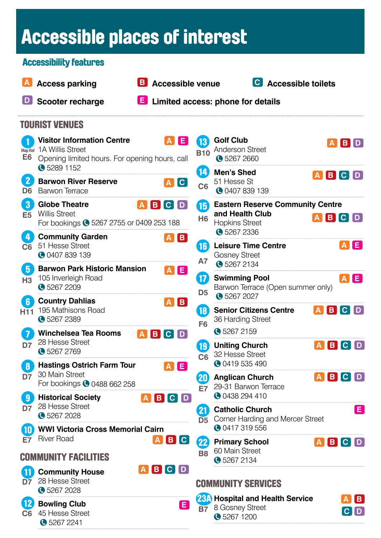## Accessible places of interest

| <b>Accessibility features</b>             |                                                                                                                               |                           |                                 |                                                                                                |                        |  |  |  |
|-------------------------------------------|-------------------------------------------------------------------------------------------------------------------------------|---------------------------|---------------------------------|------------------------------------------------------------------------------------------------|------------------------|--|--|--|
|                                           |                                                                                                                               |                           |                                 |                                                                                                |                        |  |  |  |
|                                           | <b>Access parking</b>                                                                                                         | <b>B</b> Accessible venue |                                 | C Accessible toilets                                                                           |                        |  |  |  |
| $\lfloor \mathsf{D} \rfloor$              | <b>Scooter recharge</b>                                                                                                       |                           |                                 | E Limited access: phone for details                                                            |                        |  |  |  |
| <b>TOURIST VENUES</b>                     |                                                                                                                               |                           |                                 |                                                                                                |                        |  |  |  |
| <b>Map Ref</b><br>E <sub>6</sub>          | <b>Visitor Information Centre</b><br>1A Willis Street<br>Opening limited hours. For opening hours, call<br><b>3</b> 5289 1152 | <b>AE</b>                 | 13)<br><b>B10</b><br>14)        | <b>Golf Club</b><br><b>Anderson Street</b><br><b>3267 2660</b>                                 | <b>ABD</b>             |  |  |  |
| $\mathbf{2}$<br>D <sub>6</sub>            | <b>Barwon River Reserve</b><br><b>Barwon Terrace</b>                                                                          | AC                        | C <sub>6</sub>                  | <b>Men's Shed</b><br><b>ABC</b><br>51 Hesse St<br><b>0</b> 0407 839 139                        | D                      |  |  |  |
| $\bf{3}$<br>E <sub>5</sub>                | <b>Globe Theatre</b><br><b>Willis Street</b><br>For bookings 35267 2755 or 0409 253 188                                       | $A$ $B$ $C$ $D$           | 16<br>H <sub>6</sub>            | <b>Eastern Reserve Community Centre</b><br>and Health Club<br>A B C D<br><b>Hopkins Street</b> |                        |  |  |  |
| $\overline{\mathbf{4}}$<br>C <sub>6</sub> | <b>Community Garden</b><br>51 Hesse Street<br><b>C</b> 0407 839 139                                                           | $A$ $B$                   | $\vert 16 \rangle$<br><b>A7</b> | G 5267 2336<br><b>Leisure Time Centre</b><br><b>Gosney Street</b><br>G 5267 2134               | A E                    |  |  |  |
| $5\phantom{.0}$<br>H3                     | <b>Barwon Park Historic Mansion</b><br>105 Inverleigh Road<br><b>32672209</b>                                                 | $A$ $E$                   | 17<br>D <sub>5</sub>            | <b>Swimming Pool</b><br>Barwon Terrace (Open summer only)<br>G 5267 2027                       | <b>AE</b>              |  |  |  |
| $6\phantom{1}6$<br>H <sub>11</sub>        | <b>Country Dahlias</b><br>195 Mathisons Road<br><b>32672389</b>                                                               | $A$ $B$                   | 18<br>F <sub>6</sub>            | <b>Senior Citizens Centre</b><br>$A$ $B$ $C$<br>36 Harding Street                              | D                      |  |  |  |
| $\overline{\mathbf{7}}$<br>D7             | <b>Winchelsea Tea Rooms</b><br>28 Hesse Street<br><b>3</b> 5267 2769                                                          | BCD<br>$ {\bf A} $        | 19)<br>C <sub>6</sub>           | G 5267 2159<br><b>Uniting Church</b><br>32 Hesse Street                                        | ABCD                   |  |  |  |
| $\boldsymbol{8}$<br>D7                    | <b>Hastings Ostrich Farm Tour</b><br>30 Main Street<br>For bookings <b>@</b> 0488 662 258                                     | A[E]                      | 20)<br><b>E7</b>                | <b>0419535490</b><br><b>Anglican Church</b><br>29-31 Barwon Terrace                            | ABCD                   |  |  |  |
| $\overline{\mathbf{9}}$<br>D7             | <b>Historical Society</b><br>28 Hesse Street<br><b>3267 2028</b>                                                              | ABCD                      | 21)<br>D <sub>5</sub>           | <b>0438 294 410</b><br><b>Catholic Church</b><br>Corner Harding and Mercer Street              | E                      |  |  |  |
| $\mathbf{10}$                             | <b>WWI Victoria Cross Memorial Cairn</b><br><b>River Road</b>                                                                 |                           |                                 | <b>0417319556</b>                                                                              |                        |  |  |  |
| <b>E7</b>                                 | <b>COMMUNITY FACILITIES</b>                                                                                                   | A B C                     | $\mathbf{22}$<br><b>B8</b>      | <b>Primary School</b><br>60 Main Street<br><b>3</b> 5267 2134                                  | ABCD                   |  |  |  |
| 11<br>$\overline{D7}$                     | <b>Community House</b><br>28 Hesse Street<br><b>3267 2028</b>                                                                 | ABCD                      |                                 | <b>COMMUNITY SERVICES</b>                                                                      |                        |  |  |  |
| $\mathbf{12}$<br>C <sub>6</sub>           | <b>Bowling Club</b><br>45 Hesse Street<br>• 5267 2241                                                                         | Ø                         | <b>B7</b>                       | <b>23A</b> Hospital and Health Service<br>8 Gosney Street<br><b>3</b> 5267 1200                | $\vert$ B<br>$[C]$ $D$ |  |  |  |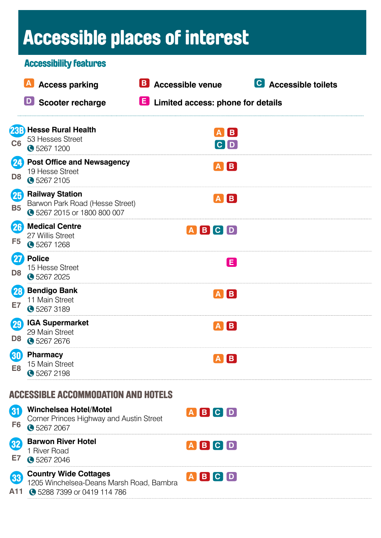# Accessible places of interest

|                                 |                              | <b>Accessibility features</b>                                                                         |                                       |                      |
|---------------------------------|------------------------------|-------------------------------------------------------------------------------------------------------|---------------------------------------|----------------------|
|                                 | $\lfloor \mathbf{A} \rfloor$ | <b>Access parking</b>                                                                                 | <b>B</b> Accessible venue             | C Accessible toilets |
|                                 |                              | <b>D</b> Scooter recharge                                                                             | E Limited access: phone for details   |                      |
| C <sub>6</sub>                  |                              | 23B Hesse Rural Health<br>53 Hesses Street<br>G 5267 1200                                             | A B<br>$[\mathsf{c} \,   \mathsf{d}]$ |                      |
| 24<br>D <sub>8</sub>            |                              | <b>Post Office and Newsagency</b><br>19 Hesse Street<br><b>3</b> 5267 2105                            | $A$ $B$                               |                      |
| 25<br><b>B5</b>                 |                              | <b>Railway Station</b><br>Barwon Park Road (Hesse Street)<br>3267 2015 or 1800 800 007                | $A$ $B$                               |                      |
| 26<br>F <sub>5</sub>            |                              | <b>Medical Centre</b><br>27 Willis Street<br><b>32671268</b>                                          | $A$ $B$ $C$ $D$                       |                      |
| $\mathbf{27}$<br>D <sub>8</sub> |                              | <b>Police</b><br>15 Hesse Street<br><b>3267 2025</b>                                                  | E                                     |                      |
| 28<br>E7                        |                              | <b>Bendigo Bank</b><br>11 Main Street<br>G 5267 3189                                                  | $A$ $B$                               |                      |
| (29)<br>D <sub>8</sub>          |                              | <b>IGA Supermarket</b><br>29 Main Street<br><b>3267 2676</b>                                          | IB.                                   |                      |
| $\bf{30}$<br>E <sub>8</sub>     |                              | <b>Pharmacy</b><br>15 Main Street<br><b>3</b> 5267 2198                                               | A B                                   |                      |
|                                 |                              | <b>ACCESSIBLE ACCOMMODATION AND HOTELS</b>                                                            |                                       |                      |
| 81<br>F <sub>6</sub>            |                              | <b>Winchelsea Hotel/Motel</b><br>Corner Princes Highway and Austin Street<br>G 5267 2067              | ABCD                                  |                      |
| 32<br>E7                        |                              | <b>Barwon River Hotel</b><br>1 River Road<br>G 5267 2046                                              | ABCD                                  |                      |
| 33<br>A11                       |                              | <b>Country Wide Cottages</b><br>1205 Winchelsea-Deans Marsh Road, Bambra<br>3288 7399 or 0419 114 786 | ABCD                                  |                      |
|                                 |                              |                                                                                                       |                                       |                      |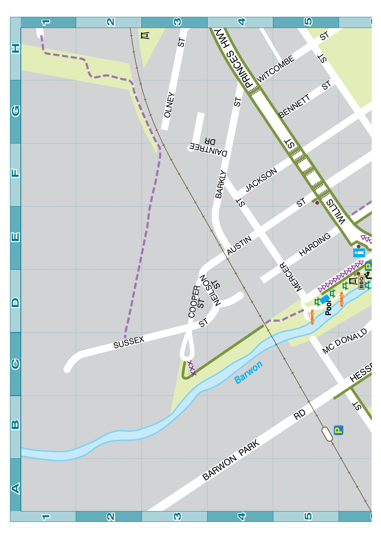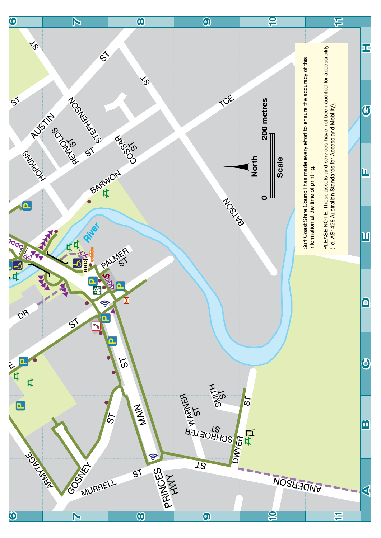